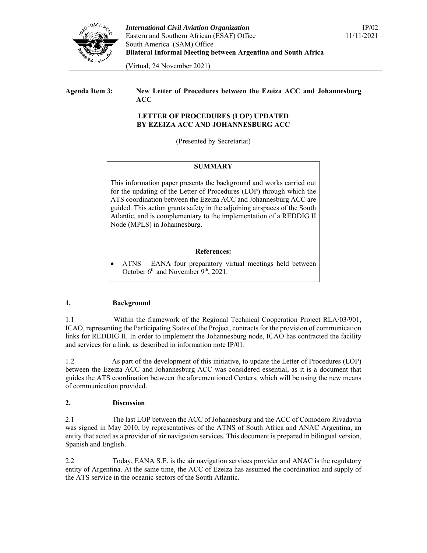

(Virtual, 24 November 2021)

# **Agenda Item 3: New Letter of Procedures between the Ezeiza ACC and Johannesburg ACC**

#### **LETTER OF PROCEDURES (LOP) UPDATED BY EZEIZA ACC AND JOHANNESBURG ACC**

(Presented by Secretariat)

#### **SUMMARY**

This information paper presents the background and works carried out for the updating of the Letter of Procedures (LOP) through which the ATS coordination between the Ezeiza ACC and Johannesburg ACC are guided. This action grants safety in the adjoining airspaces of the South Atlantic, and is complementary to the implementation of a REDDIG II Node (MPLS) in Johannesburg.

# **References:**

 ATNS – EANA four preparatory virtual meetings held between October 6<sup>th</sup> and November 9<sup>th</sup>, 2021.

#### **1. Background**

1.1 Within the framework of the Regional Technical Cooperation Project RLA/03/901, ICAO, representing the Participating States of the Project, contracts for the provision of communication links for REDDIG II. In order to implement the Johannesburg node, ICAO has contracted the facility and services for a link, as described in information note IP/01.

1.2 As part of the development of this initiative, to update the Letter of Procedures (LOP) between the Ezeiza ACC and Johannesburg ACC was considered essential, as it is a document that guides the ATS coordination between the aforementioned Centers, which will be using the new means of communication provided.

#### **2. Discussion**

2.1 The last LOP between the ACC of Johannesburg and the ACC of Comodoro Rivadavia was signed in May 2010, by representatives of the ATNS of South Africa and ANAC Argentina, an entity that acted as a provider of air navigation services. This document is prepared in bilingual version, Spanish and English.

2.2 Today, EANA S.E. is the air navigation services provider and ANAC is the regulatory entity of Argentina. At the same time, the ACC of Ezeiza has assumed the coordination and supply of the ATS service in the oceanic sectors of the South Atlantic.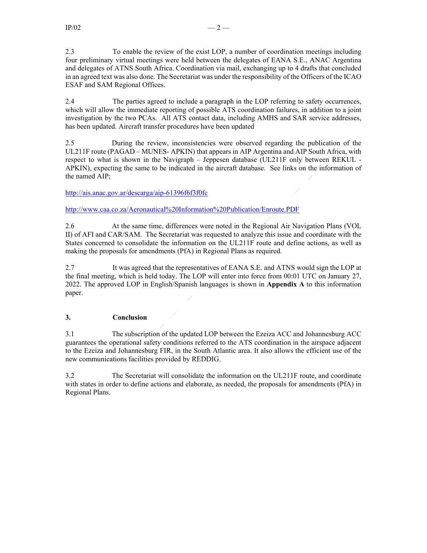2.4 The parties agreed to include a paragraph in the LOP referring to safety occurrences, which will allow the immediate reporting of possible ATS coordination failures, in addition to a joint investigation by the two PCAs. All ATS contact data, including AMHS and SAR service addresses, has been updated. Aircraft transfer procedures have been updated

2.5 During the review, inconsistencies were observed regarding the publication of the UL211F route (PAGAD – MUNES- APKIN) that appears in AIP Argentina and AIP South Africa, with respect to what is shown in the Navigraph – Jeppesen database (UL211F only between REKUL - APKIN), expecting the same to be indicated in the aircraft database. See links on the information of the named AIP;

#### http://ais.anac.gov.ar/descarga/aip-61396f6f3f0fc

http://www.caa.co.za/Aeronautical%20Information%20Publication/Enroute.PDF

2.6 At the same time, differences were noted in the Regional Air Navigation Plans (VOL II) of AFI and CAR/SAM. The Secretariat was requested to analyze this issue and coordinate with the States concerned to consolidate the information on the UL211F route and define actions, as well as making the proposals for amendments (PfA) in Regional Plans as required.

2.7 It was agreed that the representatives of EANA S.E. and ATNS would sign the LOP at the final meeting, which is held today. The LOP will enter into force from 00:01 UTC on January 27, 2022. The approved LOP in English/Spanish languages is shown in **Appendix A** to this information paper.

#### **3. Conclusion**

3.1 The subscription of the updated LOP between the Ezeiza ACC and Johannesburg ACC guarantees the operational safety conditions referred to the ATS coordination in the airspace adjacent to the Ezeiza and Johannesburg FIR, in the South Atlantic area. It also allows the efficient use of the new communications facilities provided by REDDIG.

3.2 The Secretariat will consolidate the information on the UL211F route, and coordinate with states in order to define actions and elaborate, as needed, the proposals for amendments (PfA) in Regional Plans.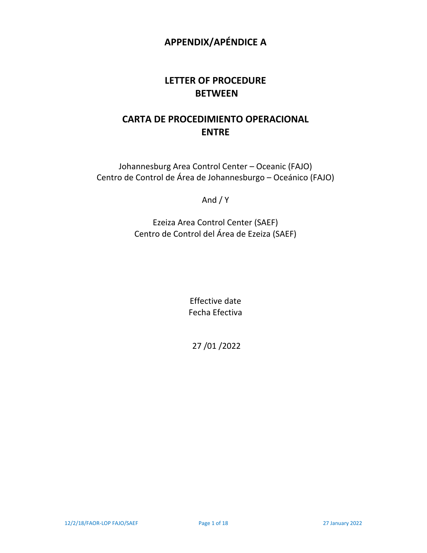# **APPENDIX/APÉNDICE A**

# **LETTER OF PROCEDURE BETWEEN**

# **CARTA DE PROCEDIMIENTO OPERACIONAL ENTRE**

Johannesburg Area Control Center – Oceanic (FAJO) Centro de Control de Área de Johannesburgo – Oceánico (FAJO)

And / Y

Ezeiza Area Control Center (SAEF) Centro de Control del Área de Ezeiza (SAEF)

> Effective date Fecha Efectiva

27 /01 /2022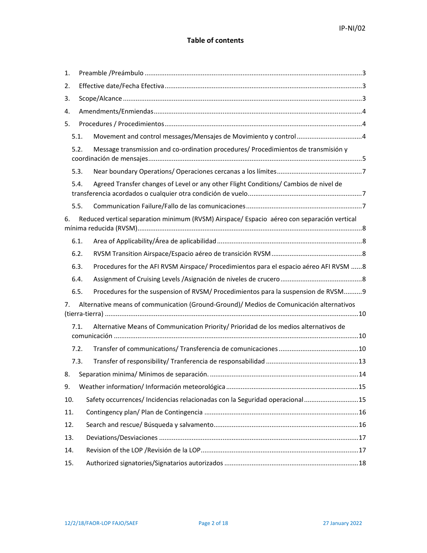# **Table of contents**

| 1.  |      |                                                                                            |  |  |
|-----|------|--------------------------------------------------------------------------------------------|--|--|
| 2.  |      |                                                                                            |  |  |
| 3.  |      |                                                                                            |  |  |
| 4.  |      |                                                                                            |  |  |
| 5.  |      |                                                                                            |  |  |
|     | 5.1. |                                                                                            |  |  |
|     | 5.2. | Message transmission and co-ordination procedures/ Procedimientos de transmisión y         |  |  |
|     | 5.3. |                                                                                            |  |  |
|     | 5.4. | Agreed Transfer changes of Level or any other Flight Conditions/ Cambios de nivel de       |  |  |
|     | 5.5. |                                                                                            |  |  |
| 6.  |      | Reduced vertical separation minimum (RVSM) Airspace/ Espacio aéreo con separación vertical |  |  |
|     | 6.1. |                                                                                            |  |  |
|     | 6.2. |                                                                                            |  |  |
|     | 6.3. | Procedures for the AFI RVSM Airspace/ Procedimientos para el espacio aéreo AFI RVSM 8      |  |  |
|     | 6.4. |                                                                                            |  |  |
|     | 6.5. | Procedures for the suspension of RVSM/ Procedimientos para la suspension de RVSM9          |  |  |
| 7.  |      | Alternative means of communication (Ground-Ground)/ Medios de Comunicación alternativos    |  |  |
|     | 7.1. | Alternative Means of Communication Priority/ Prioridad de los medios alternativos de       |  |  |
|     | 7.2. |                                                                                            |  |  |
|     | 7.3. |                                                                                            |  |  |
| 8.  |      |                                                                                            |  |  |
| 9.  |      |                                                                                            |  |  |
| 10. |      | Safety occurrences/ Incidencias relacionadas con la Seguridad operacional15                |  |  |
| 11. |      |                                                                                            |  |  |
| 12. |      |                                                                                            |  |  |
| 13. |      |                                                                                            |  |  |
| 14. |      |                                                                                            |  |  |
| 15. |      |                                                                                            |  |  |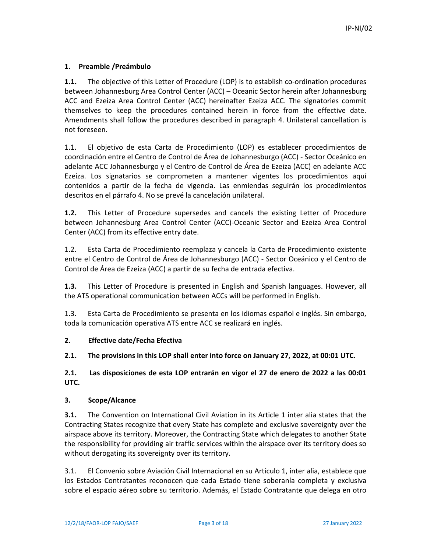# **1. Preamble /Preámbulo**

**1.1.** The objective of this Letter of Procedure (LOP) is to establish co-ordination procedures between Johannesburg Area Control Center (ACC) – Oceanic Sector herein after Johannesburg ACC and Ezeiza Area Control Center (ACC) hereinafter Ezeiza ACC. The signatories commit themselves to keep the procedures contained herein in force from the effective date. Amendments shall follow the procedures described in paragraph 4. Unilateral cancellation is not foreseen.

1.1. El objetivo de esta Carta de Procedimiento (LOP) es establecer procedimientos de coordinación entre el Centro de Control de Área de Johannesburgo (ACC) ‐ Sector Oceánico en adelante ACC Johannesburgo y el Centro de Control de Área de Ezeiza (ACC) en adelante ACC Ezeiza. Los signatarios se comprometen a mantener vigentes los procedimientos aquí contenidos a partir de la fecha de vigencia. Las enmiendas seguirán los procedimientos descritos en el párrafo 4. No se prevé la cancelación unilateral.

**1.2.** This Letter of Procedure supersedes and cancels the existing Letter of Procedure between Johannesburg Area Control Center (ACC)‐Oceanic Sector and Ezeiza Area Control Center (ACC) from its effective entry date.

1.2. Esta Carta de Procedimiento reemplaza y cancela la Carta de Procedimiento existente entre el Centro de Control de Área de Johannesburgo (ACC) ‐ Sector Oceánico y el Centro de Control de Área de Ezeiza (ACC) a partir de su fecha de entrada efectiva.

**1.3.** This Letter of Procedure is presented in English and Spanish languages. However, all the ATS operational communication between ACCs will be performed in English.

1.3. Esta Carta de Procedimiento se presenta en los idiomas español e inglés. Sin embargo, toda la comunicación operativa ATS entre ACC se realizará en inglés.

#### **2. Effective date/Fecha Efectiva**

**2.1. The provisions in this LOP shall enter into force on January 27, 2022, at 00:01 UTC.** 

# **2.1. Las disposiciones de esta LOP entrarán en vigor el 27 de enero de 2022 a las 00:01 UTC.**

#### **3. Scope/Alcance**

**3.1.** The Convention on International Civil Aviation in its Article 1 inter alia states that the Contracting States recognize that every State has complete and exclusive sovereignty over the airspace above its territory. Moreover, the Contracting State which delegates to another State the responsibility for providing air traffic services within the airspace over its territory does so without derogating its sovereignty over its territory.

3.1. El Convenio sobre Aviación Civil Internacional en su Artículo 1, inter alia, establece que los Estados Contratantes reconocen que cada Estado tiene soberanía completa y exclusiva sobre el espacio aéreo sobre su territorio. Además, el Estado Contratante que delega en otro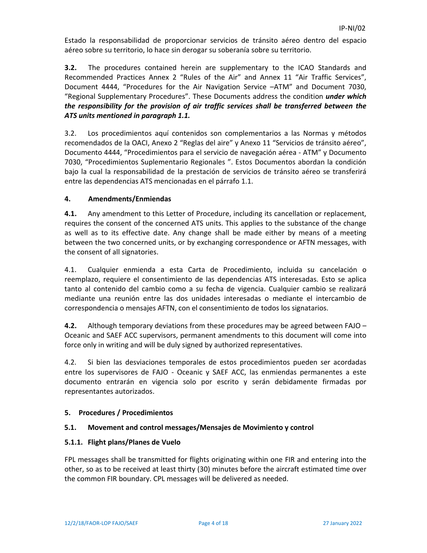Estado la responsabilidad de proporcionar servicios de tránsito aéreo dentro del espacio aéreo sobre su territorio, lo hace sin derogar su soberanía sobre su territorio.

**3.2.** The procedures contained herein are supplementary to the ICAO Standards and Recommended Practices Annex 2 "Rules of the Air" and Annex 11 "Air Traffic Services", Document 4444, "Procedures for the Air Navigation Service -ATM" and Document 7030, "Regional Supplementary Procedures". These Documents address the condition *under which the responsibility for the provision of air traffic services shall be transferred between the ATS units mentioned in paragraph 1.1.*

3.2. Los procedimientos aquí contenidos son complementarios a las Normas y métodos recomendados de la OACI, Anexo 2 "Reglas del aire" y Anexo 11 "Servicios de tránsito aéreo", Documento 4444, "Procedimientos para el servicio de navegación aérea ‐ ATM" y Documento 7030, "Procedimientos Suplementario Regionales ". Estos Documentos abordan la condición bajo la cual la responsabilidad de la prestación de servicios de tránsito aéreo se transferirá entre las dependencias ATS mencionadas en el párrafo 1.1.

# **4. Amendments/Enmiendas**

**4.1.** Any amendment to this Letter of Procedure, including its cancellation or replacement, requires the consent of the concerned ATS units. This applies to the substance of the change as well as to its effective date. Any change shall be made either by means of a meeting between the two concerned units, or by exchanging correspondence or AFTN messages, with the consent of all signatories.

4.1. Cualquier enmienda a esta Carta de Procedimiento, incluida su cancelación o reemplazo, requiere el consentimiento de las dependencias ATS interesadas. Esto se aplica tanto al contenido del cambio como a su fecha de vigencia. Cualquier cambio se realizará mediante una reunión entre las dos unidades interesadas o mediante el intercambio de correspondencia o mensajes AFTN, con el consentimiento de todos los signatarios.

**4.2.** Although temporary deviations from these procedures may be agreed between FAJO – Oceanic and SAEF ACC supervisors, permanent amendments to this document will come into force only in writing and will be duly signed by authorized representatives.

4.2. Si bien las desviaciones temporales de estos procedimientos pueden ser acordadas entre los supervisores de FAJO - Oceanic y SAEF ACC, las enmiendas permanentes a este documento entrarán en vigencia solo por escrito y serán debidamente firmadas por representantes autorizados.

#### **5. Procedures / Procedimientos**

#### **5.1. Movement and control messages/Mensajes de Movimiento y control**

#### **5.1.1. Flight plans/Planes de Vuelo**

FPL messages shall be transmitted for flights originating within one FIR and entering into the other, so as to be received at least thirty (30) minutes before the aircraft estimated time over the common FIR boundary. CPL messages will be delivered as needed.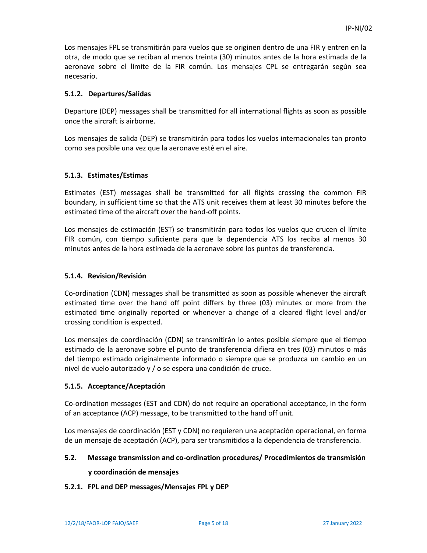Los mensajes FPL se transmitirán para vuelos que se originen dentro de una FIR y entren en la otra, de modo que se reciban al menos treinta (30) minutos antes de la hora estimada de la aeronave sobre el límite de la FIR común. Los mensajes CPL se entregarán según sea necesario.

#### **5.1.2. Departures/Salidas**

Departure (DEP) messages shall be transmitted for all international flights as soon as possible once the aircraft is airborne.

Los mensajes de salida (DEP) se transmitirán para todos los vuelos internacionales tan pronto como sea posible una vez que la aeronave esté en el aire.

#### **5.1.3. Estimates/Estimas**

Estimates (EST) messages shall be transmitted for all flights crossing the common FIR boundary, in sufficient time so that the ATS unit receives them at least 30 minutes before the estimated time of the aircraft over the hand‐off points.

Los mensajes de estimación (EST) se transmitirán para todos los vuelos que crucen el límite FIR común, con tiempo suficiente para que la dependencia ATS los reciba al menos 30 minutos antes de la hora estimada de la aeronave sobre los puntos de transferencia.

#### **5.1.4. Revision/Revisión**

Co‐ordination (CDN) messages shall be transmitted as soon as possible whenever the aircraft estimated time over the hand off point differs by three (03) minutes or more from the estimated time originally reported or whenever a change of a cleared flight level and/or crossing condition is expected.

Los mensajes de coordinación (CDN) se transmitirán lo antes posible siempre que el tiempo estimado de la aeronave sobre el punto de transferencia difiera en tres (03) minutos o más del tiempo estimado originalmente informado o siempre que se produzca un cambio en un nivel de vuelo autorizado y / o se espera una condición de cruce.

#### **5.1.5. Acceptance/Aceptación**

Co‐ordination messages (EST and CDN) do not require an operational acceptance, in the form of an acceptance (ACP) message, to be transmitted to the hand off unit.

Los mensajes de coordinación (EST y CDN) no requieren una aceptación operacional, en forma de un mensaje de aceptación (ACP), para ser transmitidos a la dependencia de transferencia.

#### **5.2. Message transmission and co‐ordination procedures/ Procedimientos de transmisión**

#### **y coordinación de mensajes**

#### **5.2.1. FPL and DEP messages/Mensajes FPL y DEP**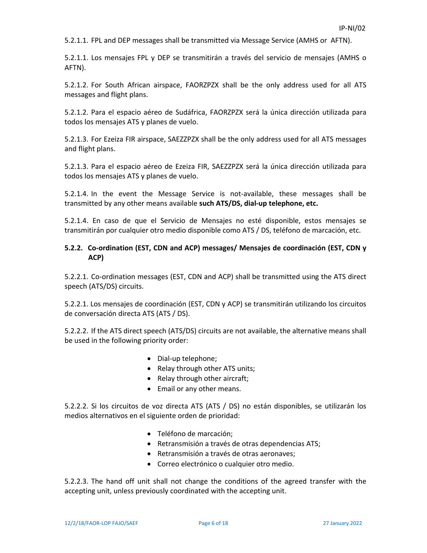5.2.1.1. FPL and DEP messages shall be transmitted via Message Service (AMHS or AFTN).

5.2.1.1. Los mensajes FPL y DEP se transmitirán a través del servicio de mensajes (AMHS o AFTN).

5.2.1.2. For South African airspace, FAORZPZX shall be the only address used for all ATS messages and flight plans.

5.2.1.2. Para el espacio aéreo de Sudáfrica, FAORZPZX será la única dirección utilizada para todos los mensajes ATS y planes de vuelo.

5.2.1.3. For Ezeiza FIR airspace, SAEZZPZX shall be the only address used for all ATS messages and flight plans.

5.2.1.3. Para el espacio aéreo de Ezeiza FIR, SAEZZPZX será la única dirección utilizada para todos los mensajes ATS y planes de vuelo.

5.2.1.4. In the event the Message Service is not‐available, these messages shall be transmitted by any other means available **such ATS/DS, dial‐up telephone, etc.**

5.2.1.4. En caso de que el Servicio de Mensajes no esté disponible, estos mensajes se transmitirán por cualquier otro medio disponible como ATS / DS, teléfono de marcación, etc.

#### **5.2.2. Co‐ordination (EST, CDN and ACP) messages/ Mensajes de coordinación (EST, CDN y ACP)**

5.2.2.1. Co-ordination messages (EST, CDN and ACP) shall be transmitted using the ATS direct speech (ATS/DS) circuits.

5.2.2.1. Los mensajes de coordinación (EST, CDN y ACP) se transmitirán utilizando los circuitos de conversación directa ATS (ATS / DS).

5.2.2.2. If the ATS direct speech (ATS/DS) circuits are not available, the alternative means shall be used in the following priority order:

- Dial-up telephone;
- Relay through other ATS units;
- Relay through other aircraft;
- Email or any other means.

5.2.2.2. Si los circuitos de voz directa ATS (ATS / DS) no están disponibles, se utilizarán los medios alternativos en el siguiente orden de prioridad:

- Teléfono de marcación;
- Retransmisión a través de otras dependencias ATS;
- Retransmisión a través de otras aeronaves;
- Correo electrónico o cualquier otro medio.

5.2.2.3. The hand off unit shall not change the conditions of the agreed transfer with the accepting unit, unless previously coordinated with the accepting unit.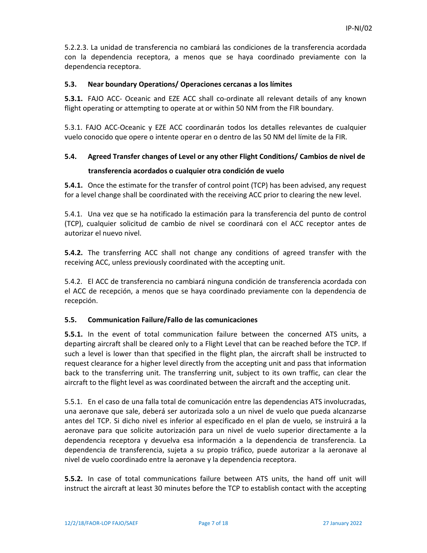5.2.2.3. La unidad de transferencia no cambiará las condiciones de la transferencia acordada con la dependencia receptora, a menos que se haya coordinado previamente con la dependencia receptora.

#### **5.3. Near boundary Operations/ Operaciones cercanas a los límites**

**5.3.1.** FAJO ACC- Oceanic and EZE ACC shall co-ordinate all relevant details of any known flight operating or attempting to operate at or within 50 NM from the FIR boundary.

5.3.1. FAJO ACC‐Oceanic y EZE ACC coordinarán todos los detalles relevantes de cualquier vuelo conocido que opere o intente operar en o dentro de las 50 NM del límite de la FIR.

# **5.4. Agreed Transfer changes of Level or any other Flight Conditions/ Cambios de nivel de**

# **transferencia acordados o cualquier otra condición de vuelo**

**5.4.1.** Once the estimate for the transfer of control point (TCP) has been advised, any request for a level change shall be coordinated with the receiving ACC prior to clearing the new level.

5.4.1. Una vez que se ha notificado la estimación para la transferencia del punto de control (TCP), cualquier solicitud de cambio de nivel se coordinará con el ACC receptor antes de autorizar el nuevo nivel.

**5.4.2.** The transferring ACC shall not change any conditions of agreed transfer with the receiving ACC, unless previously coordinated with the accepting unit.

5.4.2. El ACC de transferencia no cambiará ninguna condición de transferencia acordada con el ACC de recepción, a menos que se haya coordinado previamente con la dependencia de recepción.

# **5.5. Communication Failure/Fallo de las comunicaciones**

**5.5.1.** In the event of total communication failure between the concerned ATS units, a departing aircraft shall be cleared only to a Flight Level that can be reached before the TCP. If such a level is lower than that specified in the flight plan, the aircraft shall be instructed to request clearance for a higher level directly from the accepting unit and pass that information back to the transferring unit. The transferring unit, subject to its own traffic, can clear the aircraft to the flight level as was coordinated between the aircraft and the accepting unit.

5.5.1. En el caso de una falla total de comunicación entre las dependencias ATS involucradas, una aeronave que sale, deberá ser autorizada solo a un nivel de vuelo que pueda alcanzarse antes del TCP. Si dicho nivel es inferior al especificado en el plan de vuelo, se instruirá a la aeronave para que solicite autorización para un nivel de vuelo superior directamente a la dependencia receptora y devuelva esa información a la dependencia de transferencia. La dependencia de transferencia, sujeta a su propio tráfico, puede autorizar a la aeronave al nivel de vuelo coordinado entre la aeronave y la dependencia receptora.

**5.5.2.** In case of total communications failure between ATS units, the hand off unit will instruct the aircraft at least 30 minutes before the TCP to establish contact with the accepting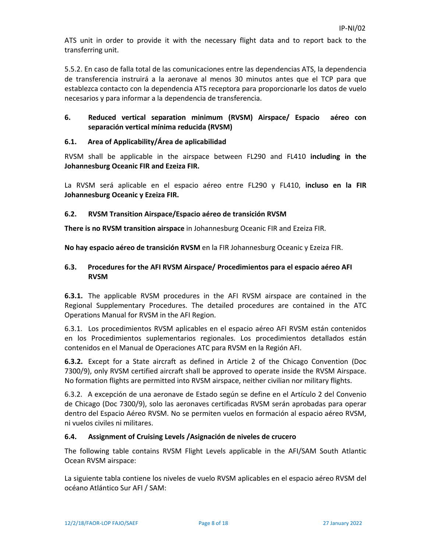ATS unit in order to provide it with the necessary flight data and to report back to the transferring unit.

5.5.2. En caso de falla total de las comunicaciones entre las dependencias ATS, la dependencia de transferencia instruirá a la aeronave al menos 30 minutos antes que el TCP para que establezca contacto con la dependencia ATS receptora para proporcionarle los datos de vuelo necesarios y para informar a la dependencia de transferencia.

# **6. Reduced vertical separation minimum (RVSM) Airspace/ Espacio aéreo con separación vertical mínima reducida (RVSM)**

# **6.1. Area of Applicability/Área de aplicabilidad**

RVSM shall be applicable in the airspace between FL290 and FL410 **including in the Johannesburg Oceanic FIR and Ezeiza FIR.** 

La RVSM será aplicable en el espacio aéreo entre FL290 y FL410, **incluso en la FIR Johannesburg Oceanic y Ezeiza FIR.** 

# **6.2. RVSM Transition Airspace/Espacio aéreo de transición RVSM**

**There is no RVSM transition airspace** in Johannesburg Oceanic FIR and Ezeiza FIR.

**No hay espacio aéreo de transición RVSM** en la FIR Johannesburg Oceanic y Ezeiza FIR.

# **6.3. Procedures for the AFI RVSM Airspace/ Procedimientos para el espacio aéreo AFI RVSM**

**6.3.1.** The applicable RVSM procedures in the AFI RVSM airspace are contained in the Regional Supplementary Procedures. The detailed procedures are contained in the ATC Operations Manual for RVSM in the AFI Region.

6.3.1. Los procedimientos RVSM aplicables en el espacio aéreo AFI RVSM están contenidos en los Procedimientos suplementarios regionales. Los procedimientos detallados están contenidos en el Manual de Operaciones ATC para RVSM en la Región AFI.

**6.3.2.** Except for a State aircraft as defined in Article 2 of the Chicago Convention (Doc 7300/9), only RVSM certified aircraft shall be approved to operate inside the RVSM Airspace. No formation flights are permitted into RVSM airspace, neither civilian nor military flights.

6.3.2. A excepción de una aeronave de Estado según se define en el Artículo 2 del Convenio de Chicago (Doc 7300/9), solo las aeronaves certificadas RVSM serán aprobadas para operar dentro del Espacio Aéreo RVSM. No se permiten vuelos en formación al espacio aéreo RVSM, ni vuelos civiles ni militares.

#### **6.4. Assignment of Cruising Levels /Asignación de niveles de crucero**

The following table contains RVSM Flight Levels applicable in the AFI/SAM South Atlantic Ocean RVSM airspace:

La siguiente tabla contiene los niveles de vuelo RVSM aplicables en el espacio aéreo RVSM del océano Atlántico Sur AFI / SAM: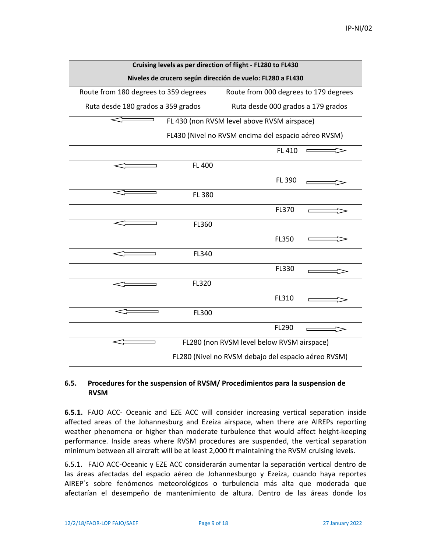| Cruising levels as per direction of flight - FL280 to FL430 |                                                     |  |  |
|-------------------------------------------------------------|-----------------------------------------------------|--|--|
| Niveles de crucero según dirección de vuelo: FL280 a FL430  |                                                     |  |  |
| Route from 180 degrees to 359 degrees                       | Route from 000 degrees to 179 degrees               |  |  |
| Ruta desde 180 grados a 359 grados                          | Ruta desde 000 grados a 179 grados                  |  |  |
|                                                             | FL 430 (non RVSM level above RVSM airspace)         |  |  |
|                                                             | FL430 (Nivel no RVSM encima del espacio aéreo RVSM) |  |  |
|                                                             | FL 410                                              |  |  |
| FL 400                                                      |                                                     |  |  |
|                                                             | FL 390                                              |  |  |
| FL 380                                                      |                                                     |  |  |
|                                                             | FL370                                               |  |  |
| FL360                                                       |                                                     |  |  |
|                                                             | FL350                                               |  |  |
| FL340                                                       |                                                     |  |  |
|                                                             | FL330                                               |  |  |
| FL320                                                       |                                                     |  |  |
|                                                             | FL310                                               |  |  |
| FL300                                                       |                                                     |  |  |
|                                                             | FL290                                               |  |  |
|                                                             | FL280 (non RVSM level below RVSM airspace)          |  |  |
|                                                             | FL280 (Nivel no RVSM debajo del espacio aéreo RVSM) |  |  |

#### **6.5. Procedures for the suspension of RVSM/ Procedimientos para la suspension de RVSM**

**6.5.1.** FAJO ACC- Oceanic and EZE ACC will consider increasing vertical separation inside affected areas of the Johannesburg and Ezeiza airspace, when there are AIREPs reporting weather phenomena or higher than moderate turbulence that would affect height-keeping performance. Inside areas where RVSM procedures are suspended, the vertical separation minimum between all aircraft will be at least 2,000 ft maintaining the RVSM cruising levels.

6.5.1. FAJO ACC‐Oceanic y EZE ACC considerarán aumentar la separación vertical dentro de las áreas afectadas del espacio aéreo de Johannesburgo y Ezeiza, cuando haya reportes AIREP´s sobre fenómenos meteorológicos o turbulencia más alta que moderada que afectarían el desempeño de mantenimiento de altura. Dentro de las áreas donde los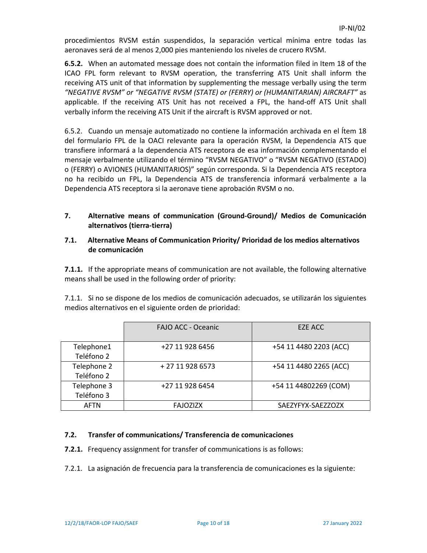procedimientos RVSM están suspendidos, la separación vertical mínima entre todas las aeronaves será de al menos 2,000 pies manteniendo los niveles de crucero RVSM.

**6.5.2.** When an automated message does not contain the information filed in Item 18 of the ICAO FPL form relevant to RVSM operation, the transferring ATS Unit shall inform the receiving ATS unit of that information by supplementing the message verbally using the term *"NEGATIVE RVSM" or "NEGATIVE RVSM (STATE) or (FERRY) or (HUMANITARIAN) AIRCRAFT"* as applicable. If the receiving ATS Unit has not received a FPL, the hand-off ATS Unit shall verbally inform the receiving ATS Unit if the aircraft is RVSM approved or not.

6.5.2. Cuando un mensaje automatizado no contiene la información archivada en el Ítem 18 del formulario FPL de la OACI relevante para la operación RVSM, la Dependencia ATS que transfiere informará a la dependencia ATS receptora de esa información complementando el mensaje verbalmente utilizando el término "RVSM NEGATIVO" o "RVSM NEGATIVO (ESTADO) o (FERRY) o AVIONES (HUMANITARIOS)" según corresponda. Si la Dependencia ATS receptora no ha recibido un FPL, la Dependencia ATS de transferencia informará verbalmente a la Dependencia ATS receptora si la aeronave tiene aprobación RVSM o no.

# **7. Alternative means of communication (Ground‐Ground)/ Medios de Comunicación alternativos (tierra‐tierra)**

# **7.1. Alternative Means of Communication Priority/ Prioridad de los medios alternativos de comunicación**

**7.1.1.** If the appropriate means of communication are not available, the following alternative means shall be used in the following order of priority:

7.1.1. Si no se dispone de los medios de comunicación adecuados, se utilizarán los siguientes medios alternativos en el siguiente orden de prioridad:

|                           | <b>FAJO ACC - Oceanic</b> | EZE ACC                |
|---------------------------|---------------------------|------------------------|
| Telephone1<br>Teléfono 2  | +27 11 928 6456           | +54 11 4480 2203 (ACC) |
| Telephone 2<br>Teléfono 2 | + 27 11 928 6573          | +54 11 4480 2265 (ACC) |
| Telephone 3<br>Teléfono 3 | +27 11 928 6454           | +54 11 44802269 (COM)  |
| <b>AFTN</b>               | <b>FAJOZIZX</b>           | SAEZYFYX-SAEZZOZX      |

# **7.2. Transfer of communications/ Transferencia de comunicaciones**

**7.2.1.** Frequency assignment for transfer of communications is as follows:

7.2.1. La asignación de frecuencia para la transferencia de comunicaciones es la siguiente: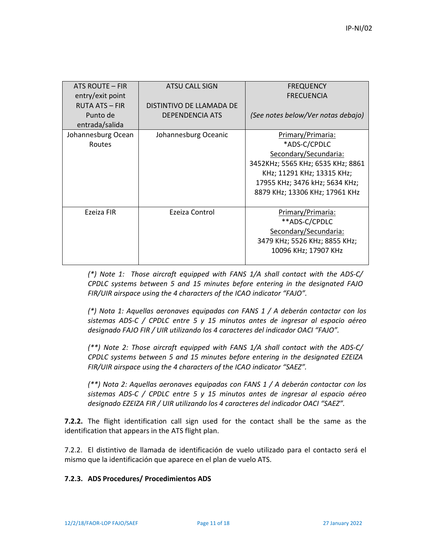| ATS ROUTE - FIR<br>entry/exit point                 | ATSU CALL SIGN                                     | <b>FREQUENCY</b><br><b>FRECUENCIA</b>                                                                                                                                                             |
|-----------------------------------------------------|----------------------------------------------------|---------------------------------------------------------------------------------------------------------------------------------------------------------------------------------------------------|
| <b>RUTA ATS - FIR</b><br>Punto de<br>entrada/salida | DISTINTIVO DE LLAMADA DE<br><b>DEPENDENCIA ATS</b> | (See notes below/Ver notas debajo)                                                                                                                                                                |
| Johannesburg Ocean<br>Routes                        | Johannesburg Oceanic                               | Primary/Primaria:<br>*ADS-C/CPDLC<br>Secondary/Secundaria:<br>3452KHz; 5565 KHz; 6535 KHz; 8861<br>KHz; 11291 KHz; 13315 KHz;<br>17955 KHz; 3476 kHz; 5634 KHz;<br>8879 KHz; 13306 KHz; 17961 KHz |
| Ezeiza FIR                                          | Ezeiza Control                                     | Primary/Primaria:<br>**ADS-C/CPDLC<br>Secondary/Secundaria:<br>3479 KHz; 5526 KHz; 8855 KHz;<br>10096 KHz; 17907 KHz                                                                              |

*(\*) Note 1: Those aircraft equipped with FANS 1/A shall contact with the ADS‐C/ CPDLC systems between 5 and 15 minutes before entering in the designated FAJO FIR/UIR airspace using the 4 characters of the ICAO indicator "FAJO".* 

*(\*) Nota 1: Aquellas aeronaves equipadas con FANS 1 / A deberán contactar con los sistemas ADS‐C / CPDLC entre 5 y 15 minutos antes de ingresar al espacio aéreo designado FAJO FIR / UIR utilizando los 4 caracteres del indicador OACI "FAJO".*

*(\*\*) Note 2: Those aircraft equipped with FANS 1/A shall contact with the ADS‐C/ CPDLC systems between 5 and 15 minutes before entering in the designated EZEIZA FIR/UIR airspace using the 4 characters of the ICAO indicator "SAEZ".* 

*(\*\*) Nota 2: Aquellas aeronaves equipadas con FANS 1 / A deberán contactar con los sistemas ADS‐C / CPDLC entre 5 y 15 minutos antes de ingresar al espacio aéreo designado EZEIZA FIR / UIR utilizando los 4 caracteres del indicador OACI "SAEZ".*

**7.2.2.** The flight identification call sign used for the contact shall be the same as the identification that appears in the ATS flight plan.

7.2.2. El distintivo de llamada de identificación de vuelo utilizado para el contacto será el mismo que la identificación que aparece en el plan de vuelo ATS.

#### **7.2.3. ADS Procedures/ Procedimientos ADS**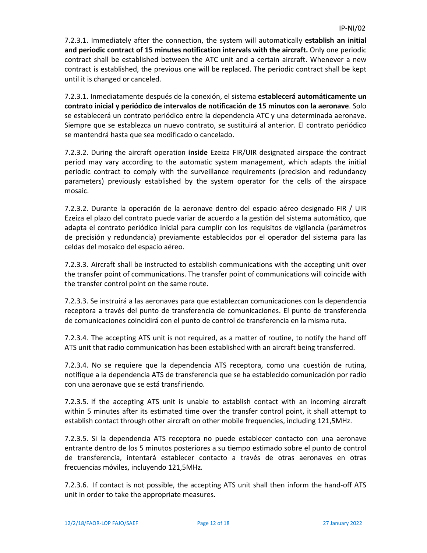7.2.3.1. Immediately after the connection, the system will automatically **establish an initial and periodic contract of 15 minutes notification intervals with the aircraft.** Only one periodic contract shall be established between the ATC unit and a certain aircraft. Whenever a new contract is established, the previous one will be replaced. The periodic contract shall be kept until it is changed or canceled.

7.2.3.1. Inmediatamente después de la conexión, el sistema **establecerá automáticamente un contrato inicial y periódico de intervalos de notificación de 15 minutos con la aeronave**. Solo se establecerá un contrato periódico entre la dependencia ATC y una determinada aeronave. Siempre que se establezca un nuevo contrato, se sustituirá al anterior. El contrato periódico se mantendrá hasta que sea modificado o cancelado.

7.2.3.2. During the aircraft operation **inside** Ezeiza FIR/UIR designated airspace the contract period may vary according to the automatic system management, which adapts the initial periodic contract to comply with the surveillance requirements (precision and redundancy parameters) previously established by the system operator for the cells of the airspace mosaic.

7.2.3.2. Durante la operación de la aeronave dentro del espacio aéreo designado FIR / UIR Ezeiza el plazo del contrato puede variar de acuerdo a la gestión del sistema automático, que adapta el contrato periódico inicial para cumplir con los requisitos de vigilancia (parámetros de precisión y redundancia) previamente establecidos por el operador del sistema para las celdas del mosaico del espacio aéreo.

7.2.3.3. Aircraft shall be instructed to establish communications with the accepting unit over the transfer point of communications. The transfer point of communications will coincide with the transfer control point on the same route.

7.2.3.3. Se instruirá a las aeronaves para que establezcan comunicaciones con la dependencia receptora a través del punto de transferencia de comunicaciones. El punto de transferencia de comunicaciones coincidirá con el punto de control de transferencia en la misma ruta.

7.2.3.4. The accepting ATS unit is not required, as a matter of routine, to notify the hand off ATS unit that radio communication has been established with an aircraft being transferred.

7.2.3.4. No se requiere que la dependencia ATS receptora, como una cuestión de rutina, notifique a la dependencia ATS de transferencia que se ha establecido comunicación por radio con una aeronave que se está transfiriendo.

7.2.3.5. If the accepting ATS unit is unable to establish contact with an incoming aircraft within 5 minutes after its estimated time over the transfer control point, it shall attempt to establish contact through other aircraft on other mobile frequencies, including 121,5MHz.

7.2.3.5. Si la dependencia ATS receptora no puede establecer contacto con una aeronave entrante dentro de los 5 minutos posteriores a su tiempo estimado sobre el punto de control de transferencia, intentará establecer contacto a través de otras aeronaves en otras frecuencias móviles, incluyendo 121,5MHz.

7.2.3.6. If contact is not possible, the accepting ATS unit shall then inform the hand‐off ATS unit in order to take the appropriate measures.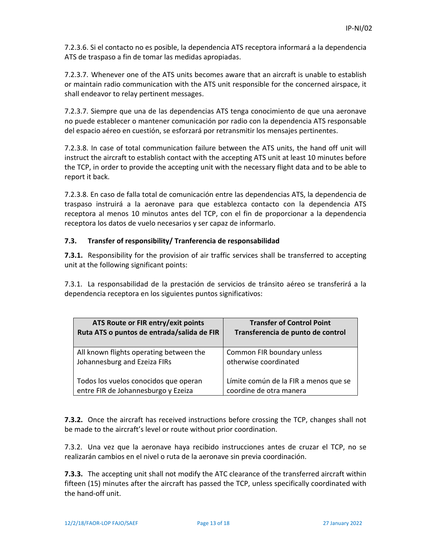7.2.3.6. Si el contacto no es posible, la dependencia ATS receptora informará a la dependencia ATS de traspaso a fin de tomar las medidas apropiadas.

7.2.3.7. Whenever one of the ATS units becomes aware that an aircraft is unable to establish or maintain radio communication with the ATS unit responsible for the concerned airspace, it shall endeavor to relay pertinent messages.

7.2.3.7. Siempre que una de las dependencias ATS tenga conocimiento de que una aeronave no puede establecer o mantener comunicación por radio con la dependencia ATS responsable del espacio aéreo en cuestión, se esforzará por retransmitir los mensajes pertinentes.

7.2.3.8. In case of total communication failure between the ATS units, the hand off unit will instruct the aircraft to establish contact with the accepting ATS unit at least 10 minutes before the TCP, in order to provide the accepting unit with the necessary flight data and to be able to report it back.

7.2.3.8. En caso de falla total de comunicación entre las dependencias ATS, la dependencia de traspaso instruirá a la aeronave para que establezca contacto con la dependencia ATS receptora al menos 10 minutos antes del TCP, con el fin de proporcionar a la dependencia receptora los datos de vuelo necesarios y ser capaz de informarlo.

# **7.3. Transfer of responsibility/ Tranferencia de responsabilidad**

**7.3.1.** Responsibility for the provision of air traffic services shall be transferred to accepting unit at the following significant points:

7.3.1. La responsabilidad de la prestación de servicios de tránsito aéreo se transferirá a la dependencia receptora en los siguientes puntos significativos:

| ATS Route or FIR entry/exit points         | <b>Transfer of Control Point</b>      |
|--------------------------------------------|---------------------------------------|
| Ruta ATS o puntos de entrada/salida de FIR | Transferencia de punto de control     |
| All known flights operating between the    | Common FIR boundary unless            |
| Johannesburg and Ezeiza FIRs               | otherwise coordinated                 |
| Todos los vuelos conocidos que operan      | Límite común de la FIR a menos que se |
| entre FIR de Johannesburgo y Ezeiza        | coordine de otra manera               |

**7.3.2.** Once the aircraft has received instructions before crossing the TCP, changes shall not be made to the aircraft's level or route without prior coordination.

7.3.2. Una vez que la aeronave haya recibido instrucciones antes de cruzar el TCP, no se realizarán cambios en el nivel o ruta de la aeronave sin previa coordinación.

**7.3.3.** The accepting unit shall not modify the ATC clearance of the transferred aircraft within fifteen (15) minutes after the aircraft has passed the TCP, unless specifically coordinated with the hand‐off unit.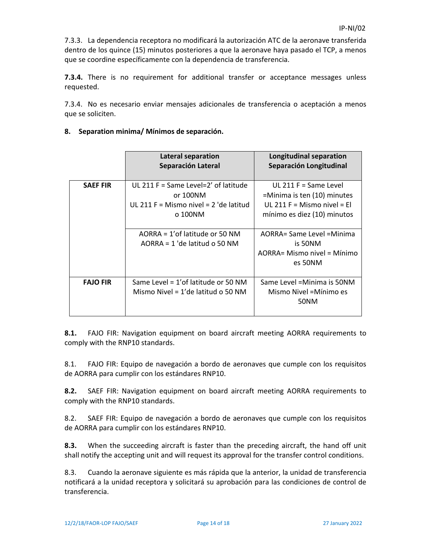7.3.3. La dependencia receptora no modificará la autorización ATC de la aeronave transferida dentro de los quince (15) minutos posteriores a que la aeronave haya pasado el TCP, a menos que se coordine específicamente con la dependencia de transferencia.

**7.3.4.** There is no requirement for additional transfer or acceptance messages unless requested.

7.3.4. No es necesario enviar mensajes adicionales de transferencia o aceptación a menos que se soliciten.

|                 | <b>Lateral separation</b><br>Separación Lateral                                                         | <b>Longitudinal separation</b><br>Separación Longitudinal                                                            |
|-----------------|---------------------------------------------------------------------------------------------------------|----------------------------------------------------------------------------------------------------------------------|
| <b>SAEF FIR</b> | UL 211 F = Same Level=2' of latitude<br>or 100NM<br>UL 211 F = Mismo nivel = $2$ 'de latitud<br>o 100NM | UL 211 $F =$ Same Level<br>=Minima is ten (10) minutes<br>UL 211 F = Mismo nivel = El<br>mínimo es diez (10) minutos |
|                 | AORRA = 1'of latitude or 50 NM<br>$AORRA = 1$ 'de latitud o 50 NM                                       | AORRA= Same Level = Minima<br>is 50NM                                                                                |

Mismo Nivel = 1'de latitud o 50 NM

**FAJO FIR** Same Level = 1'of latitude or 50 NM

# **8. Separation minima/ Mínimos de separación.**

**8.1.** FAJO FIR: Navigation equipment on board aircraft meeting AORRA requirements to comply with the RNP10 standards.

8.1. FAJO FIR: Equipo de navegación a bordo de aeronaves que cumple con los requisitos de AORRA para cumplir con los estándares RNP10.

**8.2.** SAEF FIR: Navigation equipment on board aircraft meeting AORRA requirements to comply with the RNP10 standards.

8.2. SAEF FIR: Equipo de navegación a bordo de aeronaves que cumple con los requisitos de AORRA para cumplir con los estándares RNP10.

**8.3.** When the succeeding aircraft is faster than the preceding aircraft, the hand off unit shall notify the accepting unit and will request its approval for the transfer control conditions.

8.3. Cuando la aeronave siguiente es más rápida que la anterior, la unidad de transferencia notificará a la unidad receptora y solicitará su aprobación para las condiciones de control de transferencia.

AORRA= Mismo nivel = Mínimo es 50NM

Same Level =Minima is 50NM Mismo Nivel =Mínimo es 50NM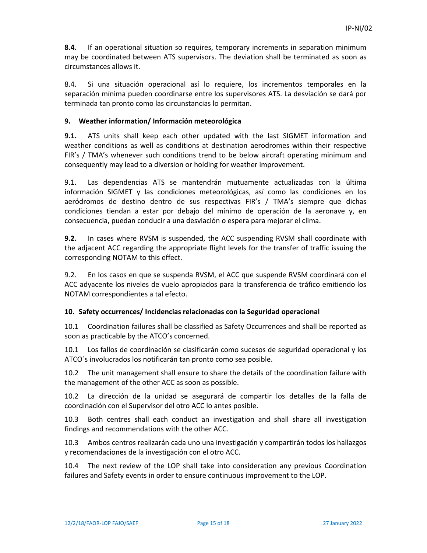**8.4.** If an operational situation so requires, temporary increments in separation minimum may be coordinated between ATS supervisors. The deviation shall be terminated as soon as circumstances allows it.

8.4. Si una situación operacional así lo requiere, los incrementos temporales en la separación mínima pueden coordinarse entre los supervisores ATS. La desviación se dará por terminada tan pronto como las circunstancias lo permitan.

#### **9. Weather information/ Información meteorológica**

**9.1.** ATS units shall keep each other updated with the last SIGMET information and weather conditions as well as conditions at destination aerodromes within their respective FIR's / TMA's whenever such conditions trend to be below aircraft operating minimum and consequently may lead to a diversion or holding for weather improvement.

9.1. Las dependencias ATS se mantendrán mutuamente actualizadas con la última información SIGMET y las condiciones meteorológicas, así como las condiciones en los aeródromos de destino dentro de sus respectivas FIR's / TMA's siempre que dichas condiciones tiendan a estar por debajo del mínimo de operación de la aeronave y, en consecuencia, puedan conducir a una desviación o espera para mejorar el clima.

**9.2.** In cases where RVSM is suspended, the ACC suspending RVSM shall coordinate with the adjacent ACC regarding the appropriate flight levels for the transfer of traffic issuing the corresponding NOTAM to this effect.

9.2. En los casos en que se suspenda RVSM, el ACC que suspende RVSM coordinará con el ACC adyacente los niveles de vuelo apropiados para la transferencia de tráfico emitiendo los NOTAM correspondientes a tal efecto.

#### **10. Safety occurrences/ Incidencias relacionadas con la Seguridad operacional**

10.1 Coordination failures shall be classified as Safety Occurrences and shall be reported as soon as practicable by the ATCO's concerned.

10.1 Los fallos de coordinación se clasificarán como sucesos de seguridad operacional y los ATCO´s involucrados los notificarán tan pronto como sea posible.

10.2 The unit management shall ensure to share the details of the coordination failure with the management of the other ACC as soon as possible.

10.2 La dirección de la unidad se asegurará de compartir los detalles de la falla de coordinación con el Supervisor del otro ACC lo antes posible.

10.3 Both centres shall each conduct an investigation and shall share all investigation findings and recommendations with the other ACC.

10.3 Ambos centros realizarán cada uno una investigación y compartirán todos los hallazgos y recomendaciones de la investigación con el otro ACC.

10.4 The next review of the LOP shall take into consideration any previous Coordination failures and Safety events in order to ensure continuous improvement to the LOP.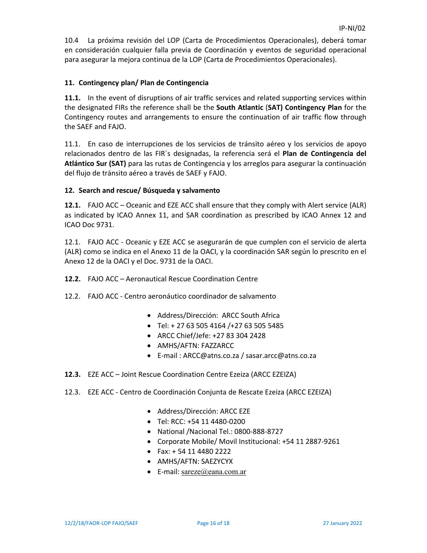10.4 La próxima revisión del LOP (Carta de Procedimientos Operacionales), deberá tomar en consideración cualquier falla previa de Coordinación y eventos de seguridad operacional para asegurar la mejora continua de la LOP (Carta de Procedimientos Operacionales).

# **11. Contingency plan/ Plan de Contingencia**

**11.1.** In the event of disruptions of air traffic services and related supporting services within the designated FIRs the reference shall be the **South Atlantic** (**SAT) Contingency Plan** for the Contingency routes and arrangements to ensure the continuation of air traffic flow through the SAEF and FAJO.

11.1. En caso de interrupciones de los servicios de tránsito aéreo y los servicios de apoyo relacionados dentro de las FIR´s designadas, la referencia será el **Plan de Contingencia del Atlántico Sur (SAT)** para las rutas de Contingencia y los arreglos para asegurar la continuación del flujo de tránsito aéreo a través de SAEF y FAJO.

#### **12. Search and rescue/ Búsqueda y salvamento**

**12.1.** FAJO ACC – Oceanic and EZE ACC shall ensure that they comply with Alert service (ALR) as indicated by ICAO Annex 11, and SAR coordination as prescribed by ICAO Annex 12 and ICAO Doc 9731.

12.1. FAJO ACC ‐ Oceanic y EZE ACC se asegurarán de que cumplen con el servicio de alerta (ALR) como se indica en el Anexo 11 de la OACI, y la coordinación SAR según lo prescrito en el Anexo 12 de la OACI y el Doc. 9731 de la OACI.

- **12.2.** FAJO ACC Aeronautical Rescue Coordination Centre
- 12.2. FAJO ACC ‐ Centro aeronáutico coordinador de salvamento
	- Address/Dirección: ARCC South Africa
	- Tel: + 27 63 505 4164 /+27 63 505 5485
	- ARCC Chief/Jefe: +27 83 304 2428
	- AMHS/AFTN: FAZZARCC
	- E‐mail : ARCC@atns.co.za / sasar.arcc@atns.co.za
- **12.3.** EZE ACC Joint Rescue Coordination Centre Ezeiza (ARCC EZEIZA)
- 12.3. EZE ACC ‐ Centro de Coordinación Conjunta de Rescate Ezeiza (ARCC EZEIZA)
	- Address/Dirección: ARCC EZE
	- Tel: RCC: +54 11 4480‐0200
	- National /Nacional Tel.: 0800‐888‐8727
	- Corporate Mobile/ Movil Institucional: +54 11 2887‐9261
	- Fax: + 54 11 4480 2222
	- AMHS/AFTN: SAEZYCYX
	- E-mail: sareze@eana.com.ar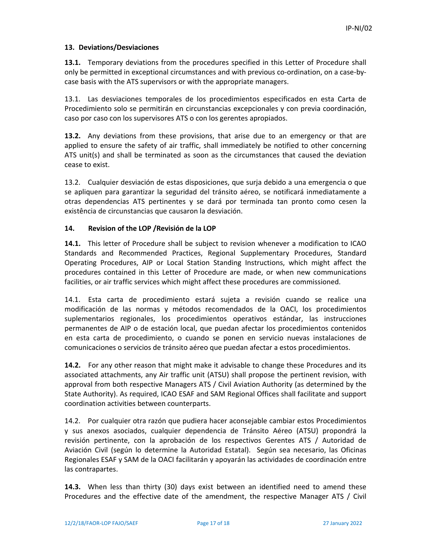#### **13. Deviations/Desviaciones**

**13.1.** Temporary deviations from the procedures specified in this Letter of Procedure shall only be permitted in exceptional circumstances and with previous co-ordination, on a case-bycase basis with the ATS supervisors or with the appropriate managers.

13.1. Las desviaciones temporales de los procedimientos especificados en esta Carta de Procedimiento solo se permitirán en circunstancias excepcionales y con previa coordinación, caso por caso con los supervisores ATS o con los gerentes apropiados.

**13.2.** Any deviations from these provisions, that arise due to an emergency or that are applied to ensure the safety of air traffic, shall immediately be notified to other concerning ATS unit(s) and shall be terminated as soon as the circumstances that caused the deviation cease to exist.

13.2. Cualquier desviación de estas disposiciones, que surja debido a una emergencia o que se apliquen para garantizar la seguridad del tránsito aéreo, se notificará inmediatamente a otras dependencias ATS pertinentes y se dará por terminada tan pronto como cesen la existência de circunstancias que causaron la desviación.

# **14. Revision of the LOP /Revisión de la LOP**

**14.1.** This letter of Procedure shall be subject to revision whenever a modification to ICAO Standards and Recommended Practices, Regional Supplementary Procedures, Standard Operating Procedures, AIP or Local Station Standing Instructions, which might affect the procedures contained in this Letter of Procedure are made, or when new communications facilities, or air traffic services which might affect these procedures are commissioned.

14.1. Esta carta de procedimiento estará sujeta a revisión cuando se realice una modificación de las normas y métodos recomendados de la OACI, los procedimientos suplementarios regionales, los procedimientos operativos estándar, las instrucciones permanentes de AIP o de estación local, que puedan afectar los procedimientos contenidos en esta carta de procedimiento, o cuando se ponen en servicio nuevas instalaciones de comunicaciones o servicios de tránsito aéreo que puedan afectar a estos procedimientos.

**14.2.** For any other reason that might make it advisable to change these Procedures and its associated attachments, any Air traffic unit (ATSU) shall propose the pertinent revision, with approval from both respective Managers ATS / Civil Aviation Authority (as determined by the State Authority). As required, ICAO ESAF and SAM Regional Offices shall facilitate and support coordination activities between counterparts.

14.2. Por cualquier otra razón que pudiera hacer aconsejable cambiar estos Procedimientos y sus anexos asociados, cualquier dependencia de Tránsito Aéreo (ATSU) propondrá la revisión pertinente, con la aprobación de los respectivos Gerentes ATS / Autoridad de Aviación Civil (según lo determine la Autoridad Estatal). Según sea necesario, las Oficinas Regionales ESAF y SAM de la OACI facilitarán y apoyarán las actividades de coordinación entre las contrapartes.

**14.3.** When less than thirty (30) days exist between an identified need to amend these Procedures and the effective date of the amendment, the respective Manager ATS / Civil